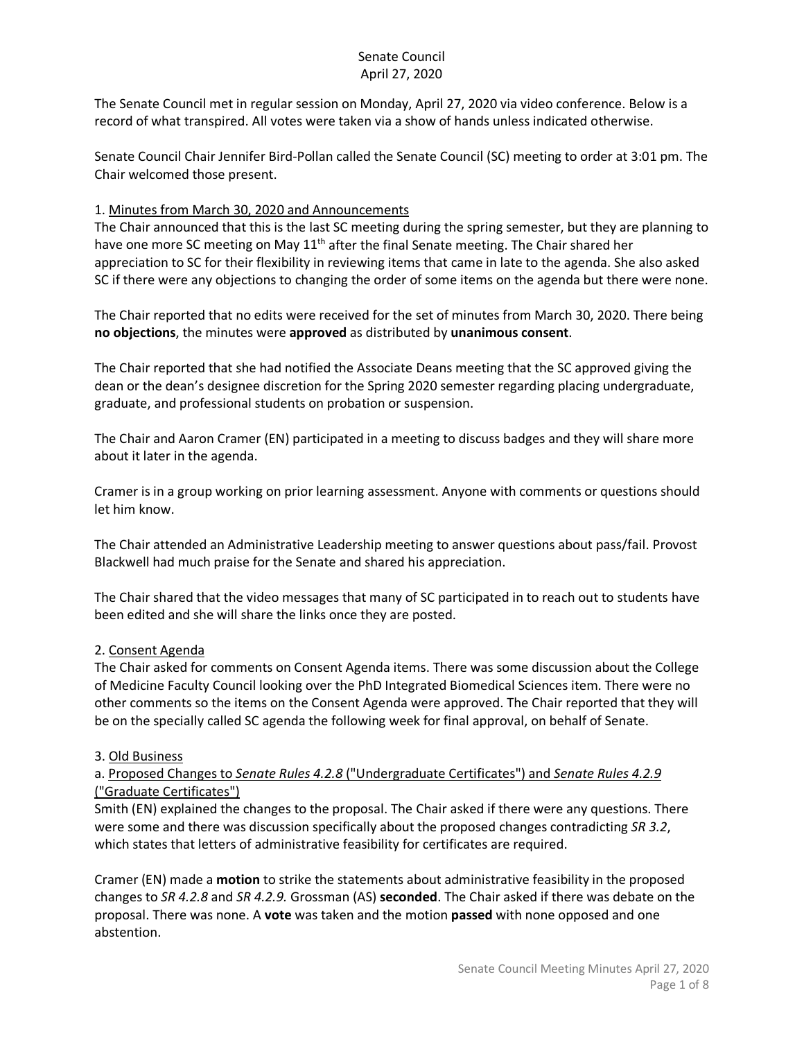The Senate Council met in regular session on Monday, April 27, 2020 via video conference. Below is a record of what transpired. All votes were taken via a show of hands unless indicated otherwise.

Senate Council Chair Jennifer Bird-Pollan called the Senate Council (SC) meeting to order at 3:01 pm. The Chair welcomed those present.

#### 1. Minutes from March 30, 2020 and Announcements

The Chair announced that this is the last SC meeting during the spring semester, but they are planning to have one more SC meeting on May 11<sup>th</sup> after the final Senate meeting. The Chair shared her appreciation to SC for their flexibility in reviewing items that came in late to the agenda. She also asked SC if there were any objections to changing the order of some items on the agenda but there were none.

The Chair reported that no edits were received for the set of minutes from March 30, 2020. There being **no objections**, the minutes were **approved** as distributed by **unanimous consent**.

The Chair reported that she had notified the Associate Deans meeting that the SC approved giving the dean or the dean's designee discretion for the Spring 2020 semester regarding placing undergraduate, graduate, and professional students on probation or suspension.

The Chair and Aaron Cramer (EN) participated in a meeting to discuss badges and they will share more about it later in the agenda.

Cramer is in a group working on prior learning assessment. Anyone with comments or questions should let him know.

The Chair attended an Administrative Leadership meeting to answer questions about pass/fail. Provost Blackwell had much praise for the Senate and shared his appreciation.

The Chair shared that the video messages that many of SC participated in to reach out to students have been edited and she will share the links once they are posted.

## 2. Consent Agenda

The Chair asked for comments on Consent Agenda items. There was some discussion about the College of Medicine Faculty Council looking over the PhD Integrated Biomedical Sciences item. There were no other comments so the items on the Consent Agenda were approved. The Chair reported that they will be on the specially called SC agenda the following week for final approval, on behalf of Senate.

#### 3. Old Business

## a. Proposed Changes to *Senate Rules 4.2.8* ("Undergraduate Certificates") and *Senate Rules 4.2.9* ("Graduate Certificates")

Smith (EN) explained the changes to the proposal. The Chair asked if there were any questions. There were some and there was discussion specifically about the proposed changes contradicting *SR 3.2*, which states that letters of administrative feasibility for certificates are required.

Cramer (EN) made a **motion** to strike the statements about administrative feasibility in the proposed changes to *SR 4.2.8* and *SR 4.2.9.* Grossman (AS) **seconded**. The Chair asked if there was debate on the proposal. There was none. A **vote** was taken and the motion **passed** with none opposed and one abstention.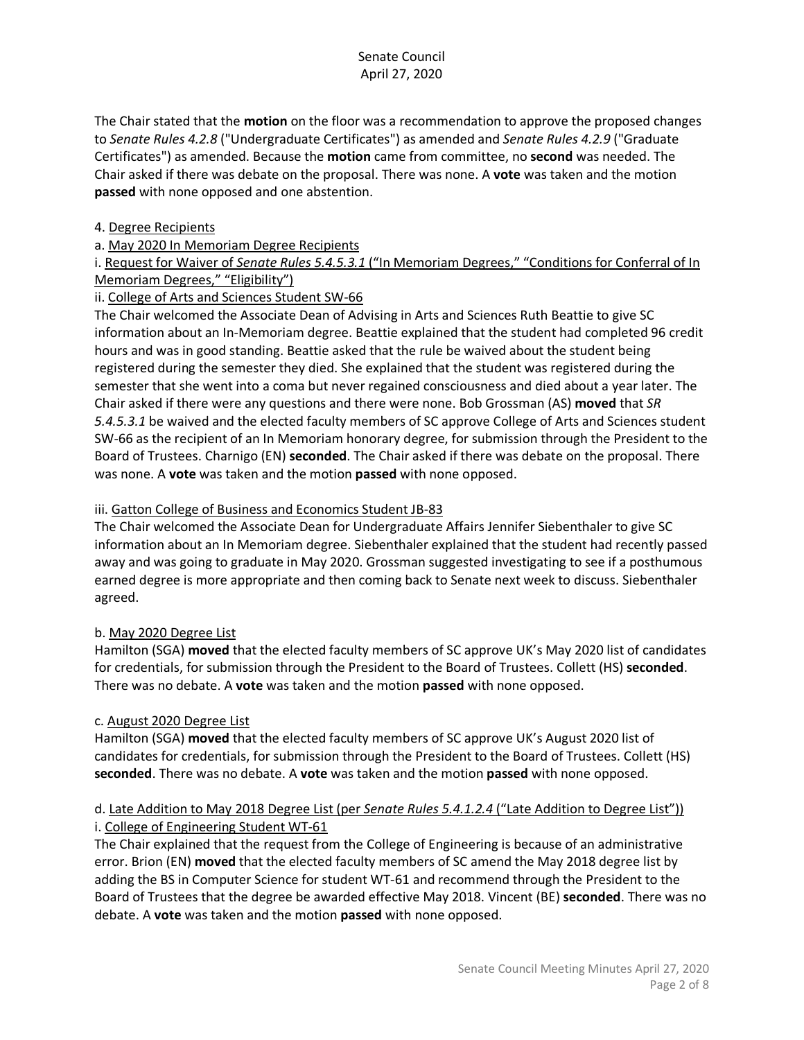The Chair stated that the **motion** on the floor was a recommendation to approve the proposed changes to *Senate Rules 4.2.8* ("Undergraduate Certificates") as amended and *Senate Rules 4.2.9* ("Graduate Certificates") as amended. Because the **motion** came from committee, no **second** was needed. The Chair asked if there was debate on the proposal. There was none. A **vote** was taken and the motion **passed** with none opposed and one abstention.

#### 4. Degree Recipients

### a. May 2020 In Memoriam Degree Recipients

i. Request for Waiver of *Senate Rules 5.4.5.3.1* ("In Memoriam Degrees," "Conditions for Conferral of In Memoriam Degrees," "Eligibility")

## ii. College of Arts and Sciences Student SW-66

The Chair welcomed the Associate Dean of Advising in Arts and Sciences Ruth Beattie to give SC information about an In-Memoriam degree. Beattie explained that the student had completed 96 credit hours and was in good standing. Beattie asked that the rule be waived about the student being registered during the semester they died. She explained that the student was registered during the semester that she went into a coma but never regained consciousness and died about a year later. The Chair asked if there were any questions and there were none. Bob Grossman (AS) **moved** that *SR 5.4.5.3.1* be waived and the elected faculty members of SC approve College of Arts and Sciences student SW-66 as the recipient of an In Memoriam honorary degree, for submission through the President to the Board of Trustees. Charnigo (EN) **seconded**. The Chair asked if there was debate on the proposal. There was none. A **vote** was taken and the motion **passed** with none opposed.

#### iii. Gatton College of Business and Economics Student JB-83

The Chair welcomed the Associate Dean for Undergraduate Affairs Jennifer Siebenthaler to give SC information about an In Memoriam degree. Siebenthaler explained that the student had recently passed away and was going to graduate in May 2020. Grossman suggested investigating to see if a posthumous earned degree is more appropriate and then coming back to Senate next week to discuss. Siebenthaler agreed.

#### b. May 2020 Degree List

Hamilton (SGA) **moved** that the elected faculty members of SC approve UK's May 2020 list of candidates for credentials, for submission through the President to the Board of Trustees. Collett (HS) **seconded**. There was no debate. A **vote** was taken and the motion **passed** with none opposed.

#### c. August 2020 Degree List

Hamilton (SGA) **moved** that the elected faculty members of SC approve UK's August 2020 list of candidates for credentials, for submission through the President to the Board of Trustees. Collett (HS) **seconded**. There was no debate. A **vote** was taken and the motion **passed** with none opposed.

# d. Late Addition to May 2018 Degree List (per *Senate Rules 5.4.1.2.4* ("Late Addition to Degree List")) i. College of Engineering Student WT-61

The Chair explained that the request from the College of Engineering is because of an administrative error. Brion (EN) **moved** that the elected faculty members of SC amend the May 2018 degree list by adding the BS in Computer Science for student WT-61 and recommend through the President to the Board of Trustees that the degree be awarded effective May 2018. Vincent (BE) **seconded**. There was no debate. A **vote** was taken and the motion **passed** with none opposed.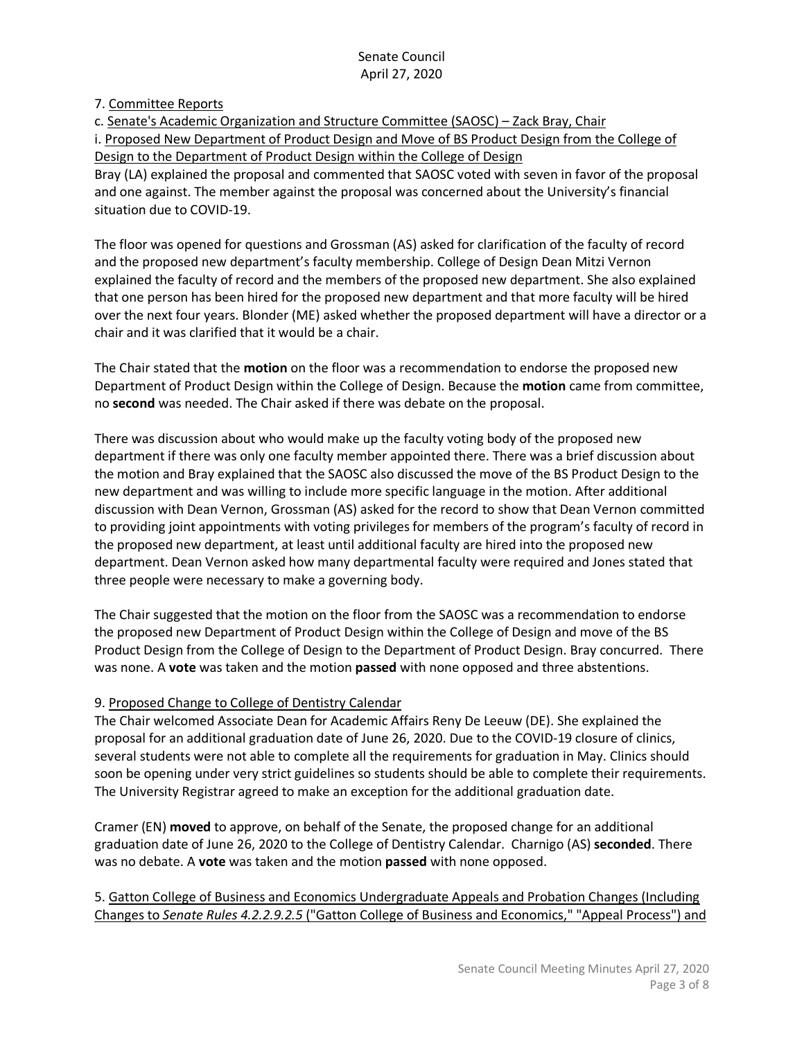#### 7. Committee Reports

c. Senate's Academic Organization and Structure Committee (SAOSC) – Zack Bray, Chair i. Proposed New Department of Product Design and Move of BS Product Design from the College of Design to the Department of Product Design within the College of Design Bray (LA) explained the proposal and commented that SAOSC voted with seven in favor of the proposal and one against. The member against the proposal was concerned about the University's financial situation due to COVID-19.

The floor was opened for questions and Grossman (AS) asked for clarification of the faculty of record and the proposed new department's faculty membership. College of Design Dean Mitzi Vernon explained the faculty of record and the members of the proposed new department. She also explained that one person has been hired for the proposed new department and that more faculty will be hired over the next four years. Blonder (ME) asked whether the proposed department will have a director or a chair and it was clarified that it would be a chair.

The Chair stated that the **motion** on the floor was a recommendation to endorse the proposed new Department of Product Design within the College of Design. Because the **motion** came from committee, no **second** was needed. The Chair asked if there was debate on the proposal.

There was discussion about who would make up the faculty voting body of the proposed new department if there was only one faculty member appointed there. There was a brief discussion about the motion and Bray explained that the SAOSC also discussed the move of the BS Product Design to the new department and was willing to include more specific language in the motion. After additional discussion with Dean Vernon, Grossman (AS) asked for the record to show that Dean Vernon committed to providing joint appointments with voting privileges for members of the program's faculty of record in the proposed new department, at least until additional faculty are hired into the proposed new department. Dean Vernon asked how many departmental faculty were required and Jones stated that three people were necessary to make a governing body.

The Chair suggested that the motion on the floor from the SAOSC was a recommendation to endorse the proposed new Department of Product Design within the College of Design and move of the BS Product Design from the College of Design to the Department of Product Design. Bray concurred. There was none. A **vote** was taken and the motion **passed** with none opposed and three abstentions.

## 9. Proposed Change to College of Dentistry Calendar

The Chair welcomed Associate Dean for Academic Affairs Reny De Leeuw (DE). She explained the proposal for an additional graduation date of June 26, 2020. Due to the COVID-19 closure of clinics, several students were not able to complete all the requirements for graduation in May. Clinics should soon be opening under very strict guidelines so students should be able to complete their requirements. The University Registrar agreed to make an exception for the additional graduation date.

Cramer (EN) **moved** to approve, on behalf of the Senate, the proposed change for an additional graduation date of June 26, 2020 to the College of Dentistry Calendar. Charnigo (AS) **seconded**. There was no debate. A **vote** was taken and the motion **passed** with none opposed.

5. Gatton College of Business and Economics Undergraduate Appeals and Probation Changes (Including Changes to *Senate Rules 4.2.2.9.2.5* ("Gatton College of Business and Economics," "Appeal Process") and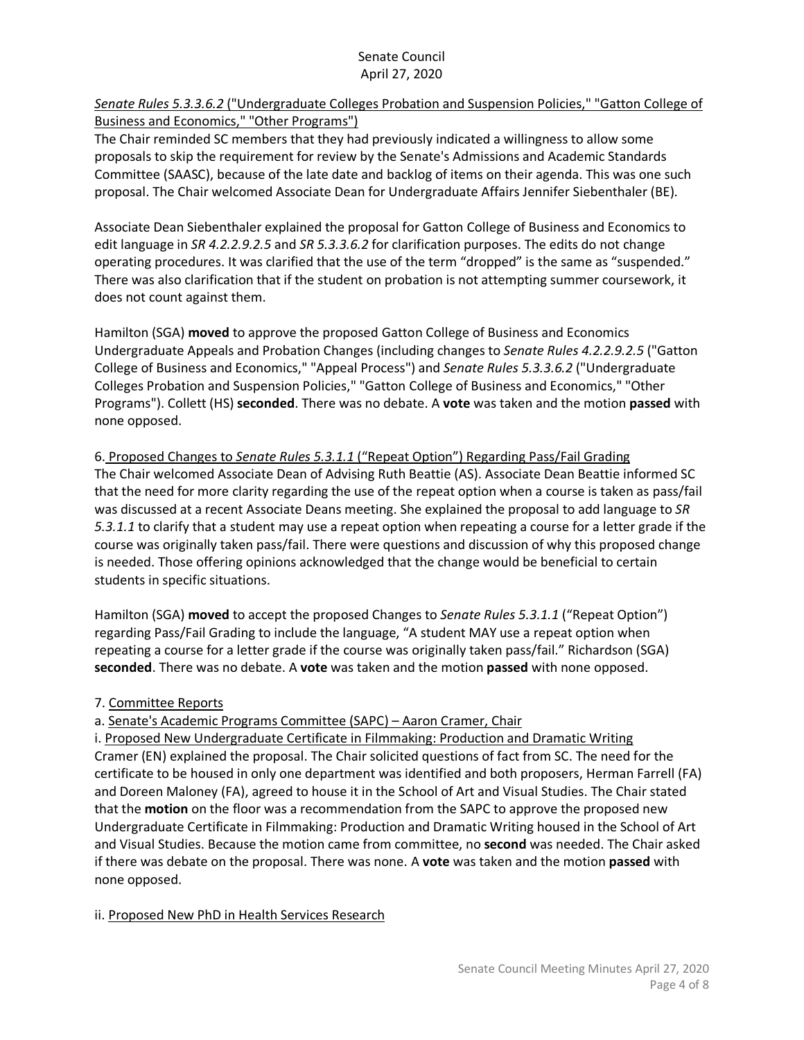## *Senate Rules 5.3.3.6.2* ("Undergraduate Colleges Probation and Suspension Policies," "Gatton College of Business and Economics," "Other Programs")

The Chair reminded SC members that they had previously indicated a willingness to allow some proposals to skip the requirement for review by the Senate's Admissions and Academic Standards Committee (SAASC), because of the late date and backlog of items on their agenda. This was one such proposal. The Chair welcomed Associate Dean for Undergraduate Affairs Jennifer Siebenthaler (BE).

Associate Dean Siebenthaler explained the proposal for Gatton College of Business and Economics to edit language in *SR 4.2.2.9.2.5* and *SR 5.3.3.6.2* for clarification purposes. The edits do not change operating procedures. It was clarified that the use of the term "dropped" is the same as "suspended." There was also clarification that if the student on probation is not attempting summer coursework, it does not count against them.

Hamilton (SGA) **moved** to approve the proposed Gatton College of Business and Economics Undergraduate Appeals and Probation Changes (including changes to *Senate Rules 4.2.2.9.2.5* ("Gatton College of Business and Economics," "Appeal Process") and *Senate Rules 5.3.3.6.2* ("Undergraduate Colleges Probation and Suspension Policies," "Gatton College of Business and Economics," "Other Programs"). Collett (HS) **seconded**. There was no debate. A **vote** was taken and the motion **passed** with none opposed.

# 6. Proposed Changes to *Senate Rules 5.3.1.1* ("Repeat Option") Regarding Pass/Fail Grading

The Chair welcomed Associate Dean of Advising Ruth Beattie (AS). Associate Dean Beattie informed SC that the need for more clarity regarding the use of the repeat option when a course is taken as pass/fail was discussed at a recent Associate Deans meeting. She explained the proposal to add language to *SR 5.3.1.1* to clarify that a student may use a repeat option when repeating a course for a letter grade if the course was originally taken pass/fail. There were questions and discussion of why this proposed change is needed. Those offering opinions acknowledged that the change would be beneficial to certain students in specific situations.

Hamilton (SGA) **moved** to accept the proposed Changes to *Senate Rules 5.3.1.1* ("Repeat Option") regarding Pass/Fail Grading to include the language, "A student MAY use a repeat option when repeating a course for a letter grade if the course was originally taken pass/fail." Richardson (SGA) **seconded**. There was no debate. A **vote** was taken and the motion **passed** with none opposed.

## 7. Committee Reports

# a. Senate's Academic Programs Committee (SAPC) – Aaron Cramer, Chair

i. Proposed New Undergraduate Certificate in Filmmaking: Production and Dramatic Writing Cramer (EN) explained the proposal. The Chair solicited questions of fact from SC. The need for the certificate to be housed in only one department was identified and both proposers, Herman Farrell (FA) and Doreen Maloney (FA), agreed to house it in the School of Art and Visual Studies. The Chair stated that the **motion** on the floor was a recommendation from the SAPC to approve the proposed new Undergraduate Certificate in Filmmaking: Production and Dramatic Writing housed in the School of Art and Visual Studies. Because the motion came from committee, no **second** was needed. The Chair asked if there was debate on the proposal. There was none. A **vote** was taken and the motion **passed** with none opposed.

## ii. Proposed New PhD in Health Services Research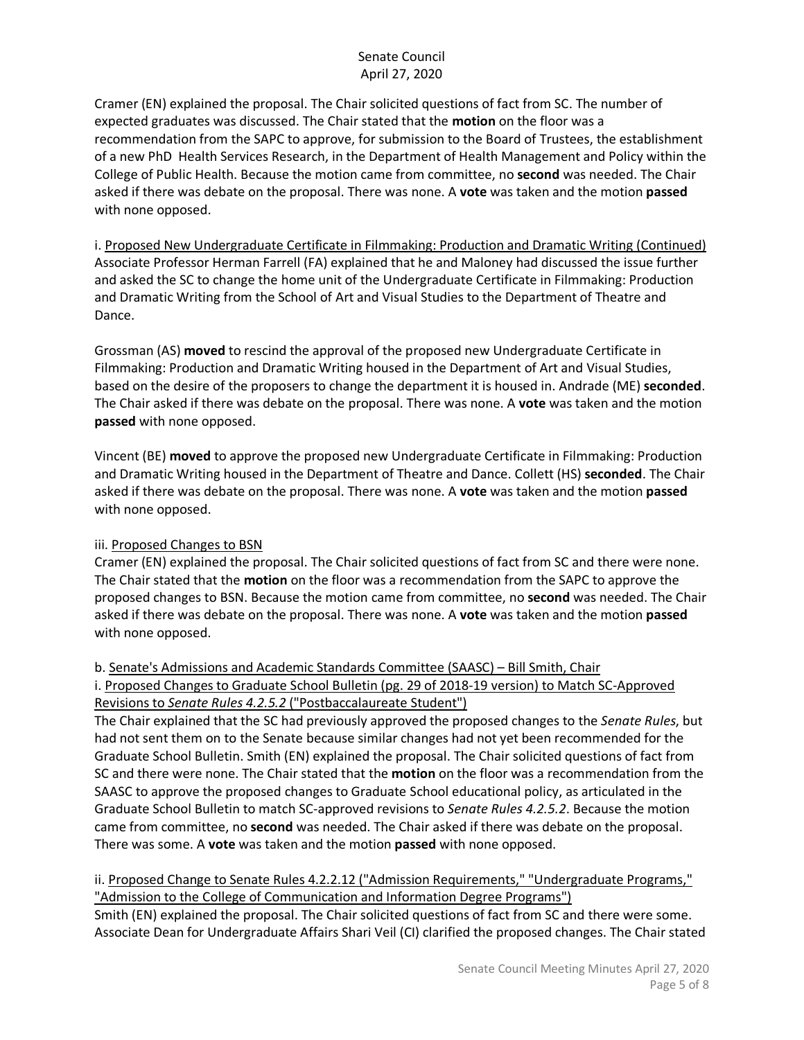Cramer (EN) explained the proposal. The Chair solicited questions of fact from SC. The number of expected graduates was discussed. The Chair stated that the **motion** on the floor was a recommendation from the SAPC to approve, for submission to the Board of Trustees, the establishment of a new PhD Health Services Research, in the Department of Health Management and Policy within the College of Public Health. Because the motion came from committee, no **second** was needed. The Chair asked if there was debate on the proposal. There was none. A **vote** was taken and the motion **passed**  with none opposed.

i. Proposed New Undergraduate Certificate in Filmmaking: Production and Dramatic Writing (Continued) Associate Professor Herman Farrell (FA) explained that he and Maloney had discussed the issue further and asked the SC to change the home unit of the Undergraduate Certificate in Filmmaking: Production and Dramatic Writing from the School of Art and Visual Studies to the Department of Theatre and Dance.

Grossman (AS) **moved** to rescind the approval of the proposed new Undergraduate Certificate in Filmmaking: Production and Dramatic Writing housed in the Department of Art and Visual Studies, based on the desire of the proposers to change the department it is housed in. Andrade (ME) **seconded**. The Chair asked if there was debate on the proposal. There was none. A **vote** was taken and the motion **passed** with none opposed.

Vincent (BE) **moved** to approve the proposed new Undergraduate Certificate in Filmmaking: Production and Dramatic Writing housed in the Department of Theatre and Dance. Collett (HS) **seconded**. The Chair asked if there was debate on the proposal. There was none. A **vote** was taken and the motion **passed**  with none opposed.

## iii. Proposed Changes to BSN

Cramer (EN) explained the proposal. The Chair solicited questions of fact from SC and there were none. The Chair stated that the **motion** on the floor was a recommendation from the SAPC to approve the proposed changes to BSN. Because the motion came from committee, no **second** was needed. The Chair asked if there was debate on the proposal. There was none. A **vote** was taken and the motion **passed**  with none opposed.

## b. Senate's Admissions and Academic Standards Committee (SAASC) – Bill Smith, Chair

i. Proposed Changes to Graduate School Bulletin (pg. 29 of 2018-19 version) to Match SC-Approved Revisions to *Senate Rules 4.2.5.2* ("Postbaccalaureate Student")

The Chair explained that the SC had previously approved the proposed changes to the *Senate Rules*, but had not sent them on to the Senate because similar changes had not yet been recommended for the Graduate School Bulletin. Smith (EN) explained the proposal. The Chair solicited questions of fact from SC and there were none. The Chair stated that the **motion** on the floor was a recommendation from the SAASC to approve the proposed changes to Graduate School educational policy, as articulated in the Graduate School Bulletin to match SC-approved revisions to *Senate Rules 4.2.5.2*. Because the motion came from committee, no **second** was needed. The Chair asked if there was debate on the proposal. There was some. A **vote** was taken and the motion **passed** with none opposed.

ii. Proposed Change to Senate Rules 4.2.2.12 ("Admission Requirements," "Undergraduate Programs," "Admission to the College of Communication and Information Degree Programs") Smith (EN) explained the proposal. The Chair solicited questions of fact from SC and there were some. Associate Dean for Undergraduate Affairs Shari Veil (CI) clarified the proposed changes. The Chair stated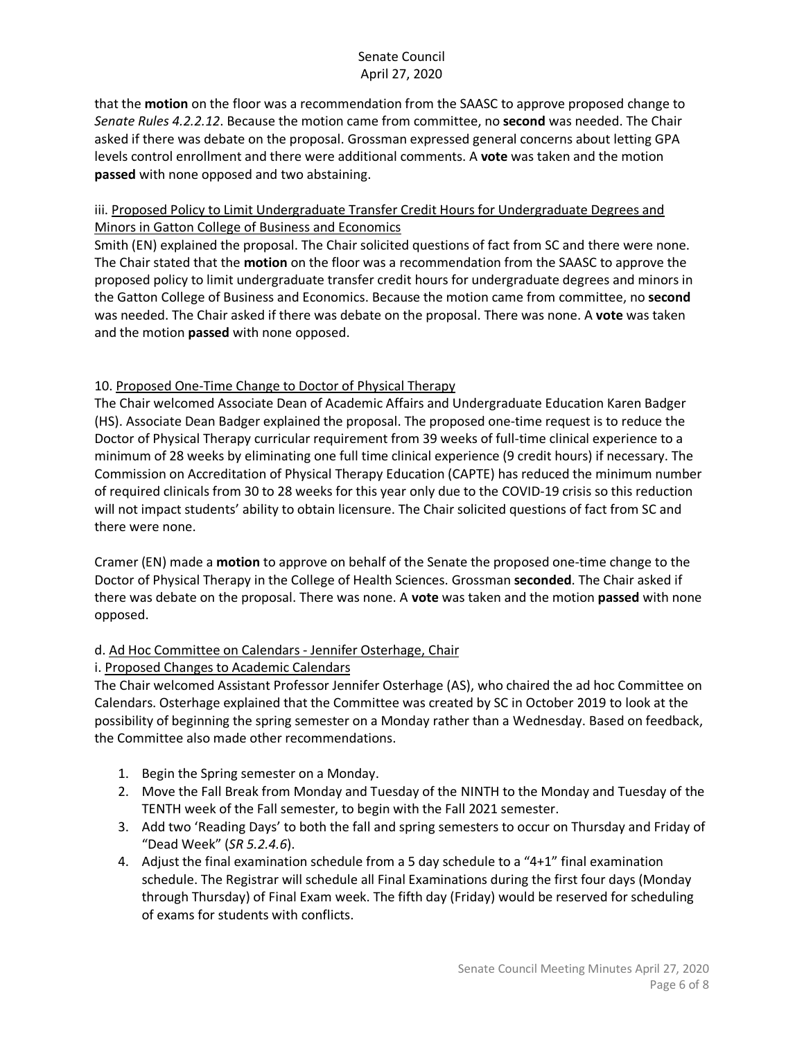that the **motion** on the floor was a recommendation from the SAASC to approve proposed change to *Senate Rules 4.2.2.12*. Because the motion came from committee, no **second** was needed. The Chair asked if there was debate on the proposal. Grossman expressed general concerns about letting GPA levels control enrollment and there were additional comments. A **vote** was taken and the motion **passed** with none opposed and two abstaining.

## iii. Proposed Policy to Limit Undergraduate Transfer Credit Hours for Undergraduate Degrees and Minors in Gatton College of Business and Economics

Smith (EN) explained the proposal. The Chair solicited questions of fact from SC and there were none. The Chair stated that the **motion** on the floor was a recommendation from the SAASC to approve the proposed policy to limit undergraduate transfer credit hours for undergraduate degrees and minors in the Gatton College of Business and Economics. Because the motion came from committee, no **second**  was needed. The Chair asked if there was debate on the proposal. There was none. A **vote** was taken and the motion **passed** with none opposed.

# 10. Proposed One-Time Change to Doctor of Physical Therapy

The Chair welcomed Associate Dean of Academic Affairs and Undergraduate Education Karen Badger (HS). Associate Dean Badger explained the proposal. The proposed one-time request is to reduce the Doctor of Physical Therapy curricular requirement from 39 weeks of full-time clinical experience to a minimum of 28 weeks by eliminating one full time clinical experience (9 credit hours) if necessary. The Commission on Accreditation of Physical Therapy Education (CAPTE) has reduced the minimum number of required clinicals from 30 to 28 weeks for this year only due to the COVID-19 crisis so this reduction will not impact students' ability to obtain licensure. The Chair solicited questions of fact from SC and there were none.

Cramer (EN) made a **motion** to approve on behalf of the Senate the proposed one-time change to the Doctor of Physical Therapy in the College of Health Sciences. Grossman **seconded**. The Chair asked if there was debate on the proposal. There was none. A **vote** was taken and the motion **passed** with none opposed.

## d. Ad Hoc Committee on Calendars - Jennifer Osterhage, Chair

## i. Proposed Changes to Academic Calendars

The Chair welcomed Assistant Professor Jennifer Osterhage (AS), who chaired the ad hoc Committee on Calendars. Osterhage explained that the Committee was created by SC in October 2019 to look at the possibility of beginning the spring semester on a Monday rather than a Wednesday. Based on feedback, the Committee also made other recommendations.

- 1. Begin the Spring semester on a Monday.
- 2. Move the Fall Break from Monday and Tuesday of the NINTH to the Monday and Tuesday of the TENTH week of the Fall semester, to begin with the Fall 2021 semester.
- 3. Add two 'Reading Days' to both the fall and spring semesters to occur on Thursday and Friday of "Dead Week" (*SR 5.2.4.6*).
- 4. Adjust the final examination schedule from a 5 day schedule to a "4+1" final examination schedule. The Registrar will schedule all Final Examinations during the first four days (Monday through Thursday) of Final Exam week. The fifth day (Friday) would be reserved for scheduling of exams for students with conflicts.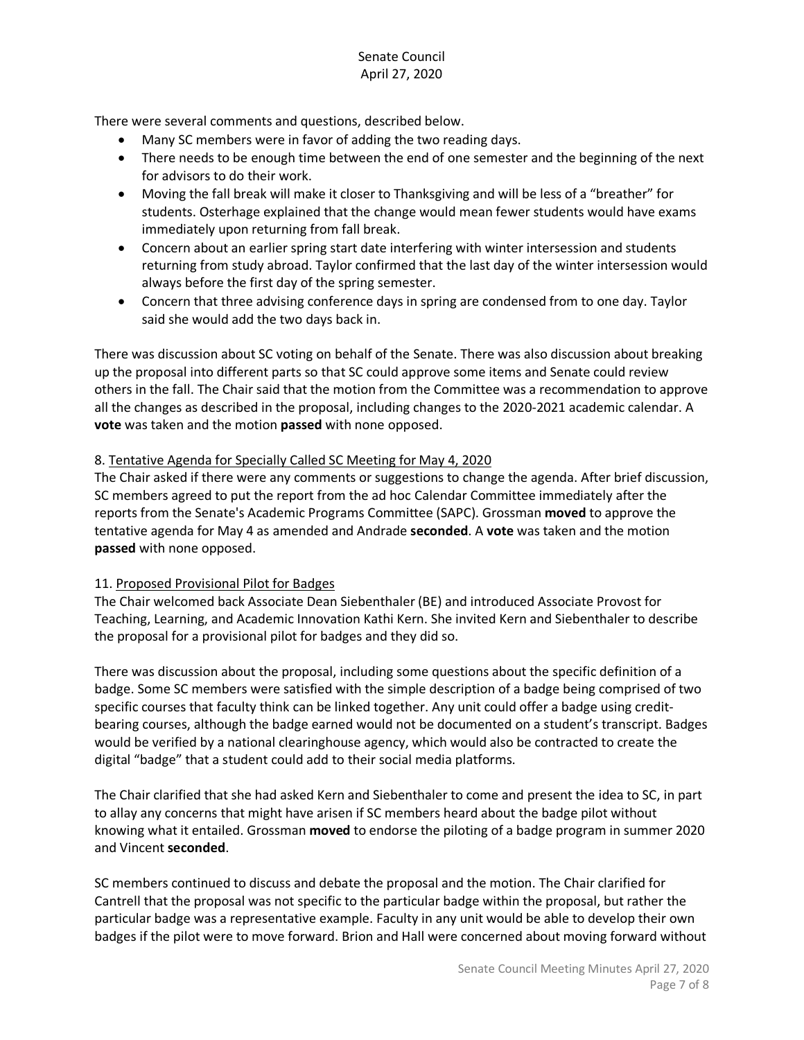There were several comments and questions, described below.

- Many SC members were in favor of adding the two reading days.
- There needs to be enough time between the end of one semester and the beginning of the next for advisors to do their work.
- Moving the fall break will make it closer to Thanksgiving and will be less of a "breather" for students. Osterhage explained that the change would mean fewer students would have exams immediately upon returning from fall break.
- Concern about an earlier spring start date interfering with winter intersession and students returning from study abroad. Taylor confirmed that the last day of the winter intersession would always before the first day of the spring semester.
- Concern that three advising conference days in spring are condensed from to one day. Taylor said she would add the two days back in.

There was discussion about SC voting on behalf of the Senate. There was also discussion about breaking up the proposal into different parts so that SC could approve some items and Senate could review others in the fall. The Chair said that the motion from the Committee was a recommendation to approve all the changes as described in the proposal, including changes to the 2020-2021 academic calendar. A **vote** was taken and the motion **passed** with none opposed.

#### 8. Tentative Agenda for Specially Called SC Meeting for May 4, 2020

The Chair asked if there were any comments or suggestions to change the agenda. After brief discussion, SC members agreed to put the report from the ad hoc Calendar Committee immediately after the reports from the Senate's Academic Programs Committee (SAPC). Grossman **moved** to approve the tentative agenda for May 4 as amended and Andrade **seconded**. A **vote** was taken and the motion **passed** with none opposed.

#### 11. Proposed Provisional Pilot for Badges

The Chair welcomed back Associate Dean Siebenthaler (BE) and introduced Associate Provost for Teaching, Learning, and Academic Innovation Kathi Kern. She invited Kern and Siebenthaler to describe the proposal for a provisional pilot for badges and they did so.

There was discussion about the proposal, including some questions about the specific definition of a badge. Some SC members were satisfied with the simple description of a badge being comprised of two specific courses that faculty think can be linked together. Any unit could offer a badge using creditbearing courses, although the badge earned would not be documented on a student's transcript. Badges would be verified by a national clearinghouse agency, which would also be contracted to create the digital "badge" that a student could add to their social media platforms.

The Chair clarified that she had asked Kern and Siebenthaler to come and present the idea to SC, in part to allay any concerns that might have arisen if SC members heard about the badge pilot without knowing what it entailed. Grossman **moved** to endorse the piloting of a badge program in summer 2020 and Vincent **seconded**.

SC members continued to discuss and debate the proposal and the motion. The Chair clarified for Cantrell that the proposal was not specific to the particular badge within the proposal, but rather the particular badge was a representative example. Faculty in any unit would be able to develop their own badges if the pilot were to move forward. Brion and Hall were concerned about moving forward without